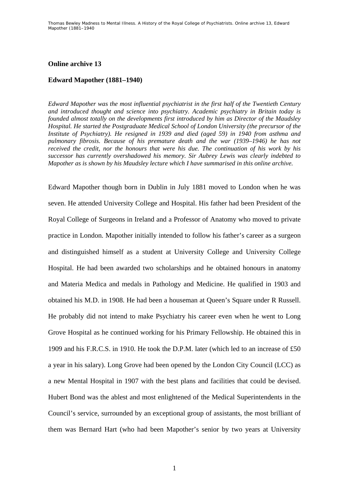## **Online archive 13**

## **Edward Mapother (1881–1940)**

*Edward Mapother was the most influential psychiatrist in the first half of the Twentieth Century and introduced thought and science into psychiatry. Academic psychiatry in Britain today is founded almost totally on the developments first introduced by him as Director of the Maudsley Hospital. He started the Postgraduate Medical School of London University (the precursor of the Institute of Psychiatry). He resigned in 1939 and died (aged 59) in 1940 from asthma and pulmonary fibrosis. Because of his premature death and the war (1939–1946) he has not received the credit, nor the honours that were his due. The continuation of his work by his successor has currently overshadowed his memory. Sir Aubrey Lewis was clearly indebted to Mapother as is shown by his Maudsley lecture which I have summarised in this online archive.* 

Edward Mapother though born in Dublin in July 1881 moved to London when he was seven. He attended University College and Hospital. His father had been President of the Royal College of Surgeons in Ireland and a Professor of Anatomy who moved to private practice in London. Mapother initially intended to follow his father's career as a surgeon and distinguished himself as a student at University College and University College Hospital. He had been awarded two scholarships and he obtained honours in anatomy and Materia Medica and medals in Pathology and Medicine. He qualified in 1903 and obtained his M.D. in 1908. He had been a houseman at Queen's Square under R Russell. He probably did not intend to make Psychiatry his career even when he went to Long Grove Hospital as he continued working for his Primary Fellowship. He obtained this in 1909 and his F.R.C.S. in 1910. He took the D.P.M. later (which led to an increase of £50 a year in his salary). Long Grove had been opened by the London City Council (LCC) as a new Mental Hospital in 1907 with the best plans and facilities that could be devised. Hubert Bond was the ablest and most enlightened of the Medical Superintendents in the Council's service, surrounded by an exceptional group of assistants, the most brilliant of them was Bernard Hart (who had been Mapother's senior by two years at University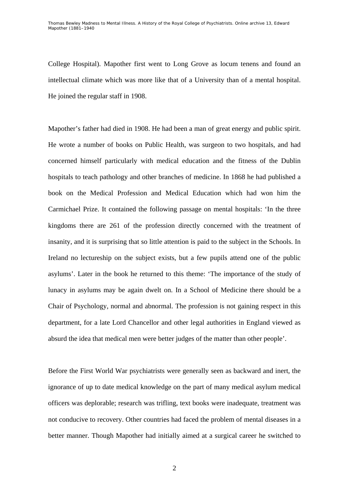College Hospital). Mapother first went to Long Grove as locum tenens and found an intellectual climate which was more like that of a University than of a mental hospital. He joined the regular staff in 1908.

Mapother's father had died in 1908. He had been a man of great energy and public spirit. He wrote a number of books on Public Health, was surgeon to two hospitals, and had concerned himself particularly with medical education and the fitness of the Dublin hospitals to teach pathology and other branches of medicine. In 1868 he had published a book on the Medical Profession and Medical Education which had won him the Carmichael Prize. It contained the following passage on mental hospitals: 'In the three kingdoms there are 261 of the profession directly concerned with the treatment of insanity, and it is surprising that so little attention is paid to the subject in the Schools. In Ireland no lectureship on the subject exists, but a few pupils attend one of the public asylums'. Later in the book he returned to this theme: 'The importance of the study of lunacy in asylums may be again dwelt on. In a School of Medicine there should be a Chair of Psychology, normal and abnormal. The profession is not gaining respect in this department, for a late Lord Chancellor and other legal authorities in England viewed as absurd the idea that medical men were better judges of the matter than other people'.

Before the First World War psychiatrists were generally seen as backward and inert, the ignorance of up to date medical knowledge on the part of many medical asylum medical officers was deplorable; research was trifling, text books were inadequate, treatment was not conducive to recovery. Other countries had faced the problem of mental diseases in a better manner. Though Mapother had initially aimed at a surgical career he switched to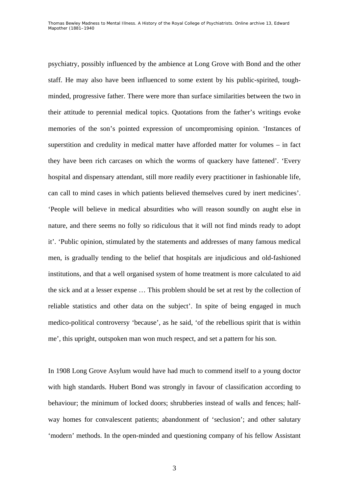psychiatry, possibly influenced by the ambience at Long Grove with Bond and the other staff. He may also have been influenced to some extent by his public-spirited, toughminded, progressive father. There were more than surface similarities between the two in their attitude to perennial medical topics. Quotations from the father's writings evoke memories of the son's pointed expression of uncompromising opinion. 'Instances of superstition and credulity in medical matter have afforded matter for volumes – in fact they have been rich carcases on which the worms of quackery have fattened'. 'Every hospital and dispensary attendant, still more readily every practitioner in fashionable life, can call to mind cases in which patients believed themselves cured by inert medicines'. 'People will believe in medical absurdities who will reason soundly on aught else in nature, and there seems no folly so ridiculous that it will not find minds ready to adopt it'. 'Public opinion, stimulated by the statements and addresses of many famous medical men, is gradually tending to the belief that hospitals are injudicious and old-fashioned institutions, and that a well organised system of home treatment is more calculated to aid the sick and at a lesser expense … This problem should be set at rest by the collection of reliable statistics and other data on the subject'. In spite of being engaged in much medico-political controversy 'because', as he said, 'of the rebellious spirit that is within me', this upright, outspoken man won much respect, and set a pattern for his son.

In 1908 Long Grove Asylum would have had much to commend itself to a young doctor with high standards. Hubert Bond was strongly in favour of classification according to behaviour; the minimum of locked doors; shrubberies instead of walls and fences; halfway homes for convalescent patients; abandonment of 'seclusion'; and other salutary 'modern' methods. In the open-minded and questioning company of his fellow Assistant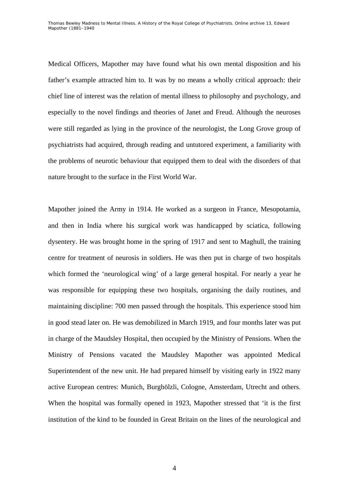Medical Officers, Mapother may have found what his own mental disposition and his father's example attracted him to. It was by no means a wholly critical approach: their chief line of interest was the relation of mental illness to philosophy and psychology, and especially to the novel findings and theories of Janet and Freud. Although the neuroses were still regarded as lying in the province of the neurologist, the Long Grove group of psychiatrists had acquired, through reading and untutored experiment, a familiarity with the problems of neurotic behaviour that equipped them to deal with the disorders of that nature brought to the surface in the First World War.

Mapother joined the Army in 1914. He worked as a surgeon in France, Mesopotamia, and then in India where his surgical work was handicapped by sciatica, following dysentery. He was brought home in the spring of 1917 and sent to Maghull, the training centre for treatment of neurosis in soldiers. He was then put in charge of two hospitals which formed the 'neurological wing' of a large general hospital. For nearly a year he was responsible for equipping these two hospitals, organising the daily routines, and maintaining discipline: 700 men passed through the hospitals. This experience stood him in good stead later on. He was demobilized in March 1919, and four months later was put in charge of the Maudsley Hospital, then occupied by the Ministry of Pensions. When the Ministry of Pensions vacated the Maudsley Mapother was appointed Medical Superintendent of the new unit. He had prepared himself by visiting early in 1922 many active European centres: Munich, Burghölzli, Cologne, Amsterdam, Utrecht and others. When the hospital was formally opened in 1923, Mapother stressed that 'it is the first institution of the kind to be founded in Great Britain on the lines of the neurological and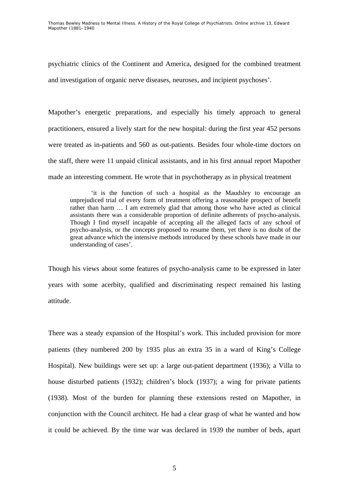Thomas Bewley *Madness to Mental Illness. A History of the Royal College of Psychiatrists*. Online archive 13, *Edward Mapother (1881–1940* 

psychiatric clinics of the Continent and America, designed for the combined treatment and investigation of organic nerve diseases, neuroses, and incipient psychoses'.

Mapother's energetic preparations, and especially his timely approach to general practitioners, ensured a lively start for the new hospital: during the first year 452 persons were treated as in-patients and 560 as out-patients. Besides four whole-time doctors on the staff, there were 11 unpaid clinical assistants, and in his first annual report Mapother made an interesting comment. He wrote that in psychotherapy as in physical treatment

'it is the function of such a hospital as the Maudsley to encourage an unprejudiced trial of every form of treatment offering a reasonable prospect of benefit rather than harm … I am extremely glad that among those who have acted as clinical assistants there was a considerable proportion of definite adherents of psycho-analysis. Though I find myself incapable of accepting all the alleged facts of any school of psycho-analysis, or the concepts proposed to resume them, yet there is no doubt of the great advance which the intensive methods introduced by these schools have made in our understanding of cases'.

Though his views about some features of psycho-analysis came to be expressed in later years with some acerbity, qualified and discriminating respect remained his lasting attitude.

There was a steady expansion of the Hospital's work. This included provision for more patients (they numbered 200 by 1935 plus an extra 35 in a ward of King's College Hospital). New buildings were set up: a large out-patient department (1936); a Villa to house disturbed patients (1932); children's block (1937); a wing for private patients (1938). Most of the burden for planning these extensions rested on Mapother, in conjunction with the Council architect. He had a clear grasp of what he wanted and how it could be achieved. By the time war was declared in 1939 the number of beds, apart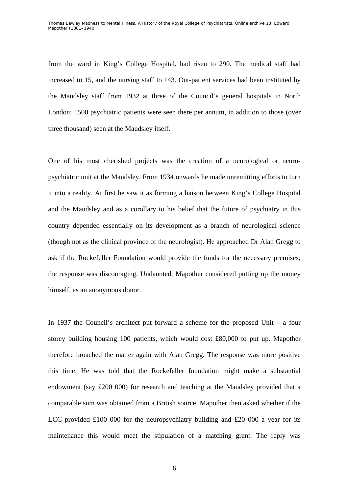from the ward in King's College Hospital, had risen to 290. The medical staff had increased to 15, and the nursing staff to 143. Out-patient services had been instituted by the Maudsley staff from 1932 at three of the Council's general hospitals in North London; 1500 psychiatric patients were seen there per annum, in addition to those (over three thousand) seen at the Maudsley itself.

One of his most cherished projects was the creation of a neurological or neuropsychiatric unit at the Maudsley. From 1934 onwards he made unremitting efforts to turn it into a reality. At first he saw it as forming a liaison between King's College Hospital and the Maudsley and as a corollary to his belief that the future of psychiatry in this country depended essentially on its development as a branch of neurological science (though not as the clinical province of the neurologist). He approached Dr Alan Gregg to ask if the Rockefeller Foundation would provide the funds for the necessary premises; the response was discouraging. Undaunted, Mapother considered putting up the money himself, as an anonymous donor.

In 1937 the Council's architect put forward a scheme for the proposed Unit – a four storey building housing 100 patients, which would cost £80,000 to put up. Mapother therefore broached the matter again with Alan Gregg. The response was more positive this time. He was told that the Rockefeller foundation might make a substantial endowment (say £200 000) for research and teaching at the Maudsley provided that a comparable sum was obtained from a British source. Mapother then asked whether if the LCC provided £100 000 for the neuropsychiatry building and £20 000 a year for its maintenance this would meet the stipulation of a matching grant. The reply was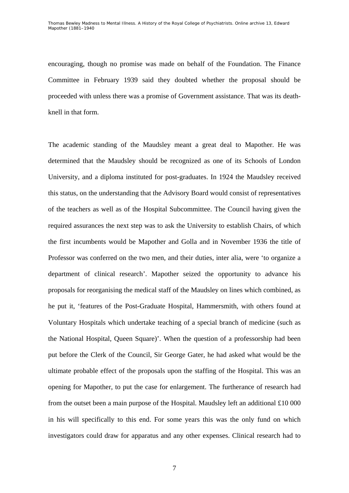encouraging, though no promise was made on behalf of the Foundation. The Finance Committee in February 1939 said they doubted whether the proposal should be proceeded with unless there was a promise of Government assistance. That was its deathknell in that form.

The academic standing of the Maudsley meant a great deal to Mapother. He was determined that the Maudsley should be recognized as one of its Schools of London University, and a diploma instituted for post-graduates. In 1924 the Maudsley received this status, on the understanding that the Advisory Board would consist of representatives of the teachers as well as of the Hospital Subcommittee. The Council having given the required assurances the next step was to ask the University to establish Chairs, of which the first incumbents would be Mapother and Golla and in November 1936 the title of Professor was conferred on the two men, and their duties, inter alia, were 'to organize a department of clinical research'. Mapother seized the opportunity to advance his proposals for reorganising the medical staff of the Maudsley on lines which combined, as he put it, 'features of the Post-Graduate Hospital, Hammersmith, with others found at Voluntary Hospitals which undertake teaching of a special branch of medicine (such as the National Hospital, Queen Square)'. When the question of a professorship had been put before the Clerk of the Council, Sir George Gater, he had asked what would be the ultimate probable effect of the proposals upon the staffing of the Hospital. This was an opening for Mapother, to put the case for enlargement. The furtherance of research had from the outset been a main purpose of the Hospital. Maudsley left an additional £10 000 in his will specifically to this end. For some years this was the only fund on which investigators could draw for apparatus and any other expenses. Clinical research had to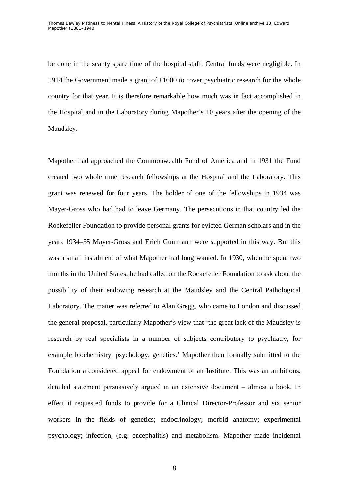be done in the scanty spare time of the hospital staff. Central funds were negligible. In 1914 the Government made a grant of £1600 to cover psychiatric research for the whole country for that year. It is therefore remarkable how much was in fact accomplished in the Hospital and in the Laboratory during Mapother's 10 years after the opening of the Maudsley.

Mapother had approached the Commonwealth Fund of America and in 1931 the Fund created two whole time research fellowships at the Hospital and the Laboratory. This grant was renewed for four years. The holder of one of the fellowships in 1934 was Mayer-Gross who had had to leave Germany. The persecutions in that country led the Rockefeller Foundation to provide personal grants for evicted German scholars and in the years 1934–35 Mayer-Gross and Erich Gurrmann were supported in this way. But this was a small instalment of what Mapother had long wanted. In 1930, when he spent two months in the United States, he had called on the Rockefeller Foundation to ask about the possibility of their endowing research at the Maudsley and the Central Pathological Laboratory. The matter was referred to Alan Gregg, who came to London and discussed the general proposal, particularly Mapother's view that 'the great lack of the Maudsley is research by real specialists in a number of subjects contributory to psychiatry, for example biochemistry, psychology, genetics.' Mapother then formally submitted to the Foundation a considered appeal for endowment of an Institute. This was an ambitious, detailed statement persuasively argued in an extensive document – almost a book. In effect it requested funds to provide for a Clinical Director-Professor and six senior workers in the fields of genetics; endocrinology; morbid anatomy; experimental psychology; infection, (e.g. encephalitis) and metabolism. Mapother made incidental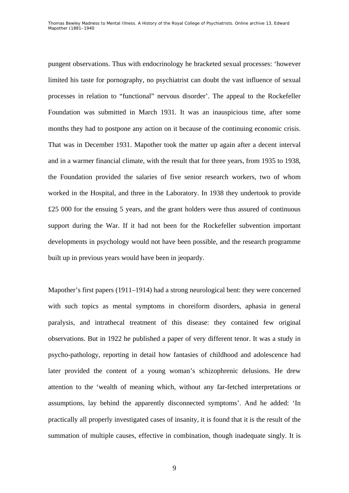pungent observations. Thus with endocrinology he bracketed sexual processes: 'however limited his taste for pornography, no psychiatrist can doubt the vast influence of sexual processes in relation to "functional" nervous disorder'. The appeal to the Rockefeller Foundation was submitted in March 1931. It was an inauspicious time, after some months they had to postpone any action on it because of the continuing economic crisis. That was in December 1931. Mapother took the matter up again after a decent interval and in a warmer financial climate, with the result that for three years, from 1935 to 1938, the Foundation provided the salaries of five senior research workers, two of whom worked in the Hospital, and three in the Laboratory. In 1938 they undertook to provide £25 000 for the ensuing 5 years, and the grant holders were thus assured of continuous support during the War. If it had not been for the Rockefeller subvention important developments in psychology would not have been possible, and the research programme built up in previous years would have been in jeopardy.

Mapother's first papers (1911–1914) had a strong neurological bent: they were concerned with such topics as mental symptoms in choreiform disorders, aphasia in general paralysis, and intrathecal treatment of this disease: they contained few original observations. But in 1922 he published a paper of very different tenor. It was a study in psycho-pathology, reporting in detail how fantasies of childhood and adolescence had later provided the content of a young woman's schizophrenic delusions. He drew attention to the 'wealth of meaning which, without any far-fetched interpretations or assumptions, lay behind the apparently disconnected symptoms'. And he added: 'In practically all properly investigated cases of insanity, it is found that it is the result of the summation of multiple causes, effective in combination, though inadequate singly. It is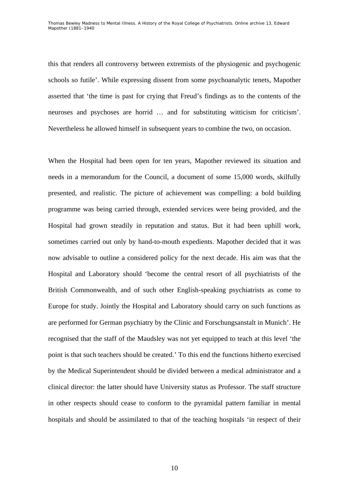this that renders all controversy between extremists of the physiogenic and psychogenic schools so futile'. While expressing dissent from some psychoanalytic tenets, Mapother asserted that 'the time is past for crying that Freud's findings as to the contents of the neuroses and psychoses are horrid … and for substituting witticism for criticism'. Nevertheless he allowed himself in subsequent years to combine the two, on occasion.

When the Hospital had been open for ten years, Mapother reviewed its situation and needs in a memorandum for the Council, a document of some 15,000 words, skilfully presented, and realistic. The picture of achievement was compelling: a bold building programme was being carried through, extended services were being provided, and the Hospital had grown steadily in reputation and status. But it had been uphill work, sometimes carried out only by hand-to-mouth expedients. Mapother decided that it was now advisable to outline a considered policy for the next decade. His aim was that the Hospital and Laboratory should 'become the central resort of all psychiatrists of the British Commonwealth, and of such other English-speaking psychiatrists as come to Europe for study. Jointly the Hospital and Laboratory should carry on such functions as are performed for German psychiatry by the Clinic and Forschungsanstalt in Munich'. He recognised that the staff of the Maudsley was not yet equipped to teach at this level 'the point is that such teachers should be created.' To this end the functions hitherto exercised by the Medical Superintendent should be divided between a medical administrator and a clinical director: the latter should have University status as Professor. The staff structure in other respects should cease to conform to the pyramidal pattern familiar in mental hospitals and should be assimilated to that of the teaching hospitals 'in respect of their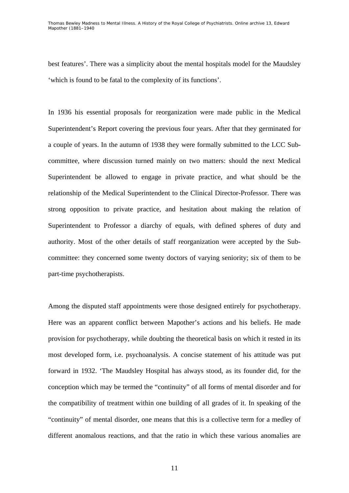best features'. There was a simplicity about the mental hospitals model for the Maudsley 'which is found to be fatal to the complexity of its functions'.

In 1936 his essential proposals for reorganization were made public in the Medical Superintendent's Report covering the previous four years. After that they germinated for a couple of years. In the autumn of 1938 they were formally submitted to the LCC Subcommittee, where discussion turned mainly on two matters: should the next Medical Superintendent be allowed to engage in private practice, and what should be the relationship of the Medical Superintendent to the Clinical Director-Professor. There was strong opposition to private practice, and hesitation about making the relation of Superintendent to Professor a diarchy of equals, with defined spheres of duty and authority. Most of the other details of staff reorganization were accepted by the Subcommittee: they concerned some twenty doctors of varying seniority; six of them to be part-time psychotherapists.

Among the disputed staff appointments were those designed entirely for psychotherapy. Here was an apparent conflict between Mapother's actions and his beliefs. He made provision for psychotherapy, while doubting the theoretical basis on which it rested in its most developed form, i.e. psychoanalysis. A concise statement of his attitude was put forward in 1932. 'The Maudsley Hospital has always stood, as its founder did, for the conception which may be termed the "continuity" of all forms of mental disorder and for the compatibility of treatment within one building of all grades of it. In speaking of the "continuity" of mental disorder, one means that this is a collective term for a medley of different anomalous reactions, and that the ratio in which these various anomalies are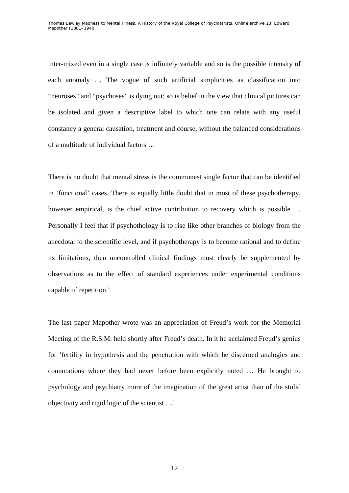inter-mixed even in a single case is infinitely variable and so is the possible intensity of each anomaly … The vogue of such artificial simplicities as classification into "neuroses" and "psychoses" is dying out; so is belief in the view that clinical pictures can be isolated and given a descriptive label to which one can relate with any useful constancy a general causation, treatment and course, without the balanced considerations of a multitude of individual factors …

There is no doubt that mental stress is the commonest single factor that can be identified in 'functional' cases. There is equally little doubt that in most of these psychotherapy, however empirical, is the chief active contribution to recovery which is possible … Personally I feel that if psychothology is to rise like other branches of biology from the anecdotal to the scientific level, and if psychotherapy is to become rational and to define its limitations, then uncontrolled clinical findings must clearly be supplemented by observations as to the effect of standard experiences under experimental conditions capable of repetition.'

The last paper Mapother wrote was an appreciation of Freud's work for the Memorial Meeting of the R.S.M. held shortly after Freud's death. In it he acclaimed Freud's genius for 'fertility in hypothesis and the penetration with which he discerned analogies and connotations where they had never before been explicitly noted … He brought to psychology and psychiatry more of the imagination of the great artist than of the stolid objectivity and rigid logic of the scientist …'